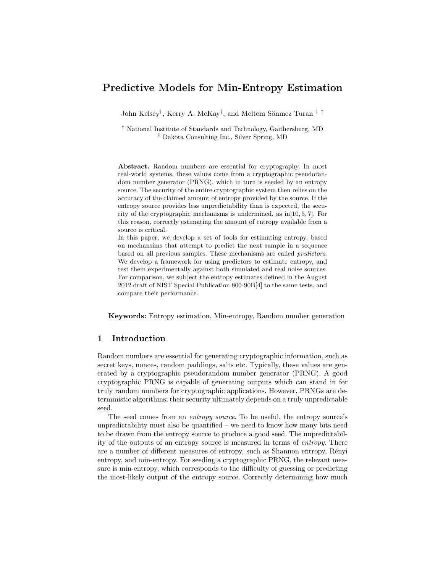# Predictive Models for Min-Entropy Estimation

John Kelsey<sup>†</sup>, Kerry A. McKay<sup>†</sup>, and Meltem Sönmez Turan <sup>† ‡</sup>

† National Institute of Standards and Technology, Gaithersburg, MD ‡ Dakota Consulting Inc., Silver Spring, MD

Abstract. Random numbers are essential for cryptography. In most real-world systems, these values come from a cryptographic pseudorandom number generator (PRNG), which in turn is seeded by an entropy source. The security of the entire cryptographic system then relies on the accuracy of the claimed amount of entropy provided by the source. If the entropy source provides less unpredictability than is expected, the security of the cryptographic mechanisms is undermined, as in[10, 5, 7]. For this reason, correctly estimating the amount of entropy available from a source is critical.

In this paper, we develop a set of tools for estimating entropy, based on mechansims that attempt to predict the next sample in a sequence based on all previous samples. These mechanisms are called predictors. We develop a framework for using predictors to estimate entropy, and test them experimentally against both simulated and real noise sources. For comparison, we subject the entropy estimates defined in the August 2012 draft of NIST Special Publication 800-90B[4] to the same tests, and compare their performance.

Keywords: Entropy estimation, Min-entropy, Random number generation

# 1 Introduction

Random numbers are essential for generating cryptographic information, such as secret keys, nonces, random paddings, salts etc. Typically, these values are generated by a cryptographic pseudorandom number generator (PRNG). A good cryptographic PRNG is capable of generating outputs which can stand in for truly random numbers for cryptographic applications. However, PRNGs are deterministic algorithms; their security ultimately depends on a truly unpredictable seed.

The seed comes from an entropy source. To be useful, the entropy source's unpredictability must also be quantified – we need to know how many bits need to be drawn from the entropy source to produce a good seed. The unpredictability of the outputs of an entropy source is measured in terms of entropy. There are a number of different measures of entropy, such as Shannon entropy, Rényi entropy, and min-entropy. For seeding a cryptographic PRNG, the relevant measure is min-entropy, which corresponds to the difficulty of guessing or predicting the most-likely output of the entropy source. Correctly determining how much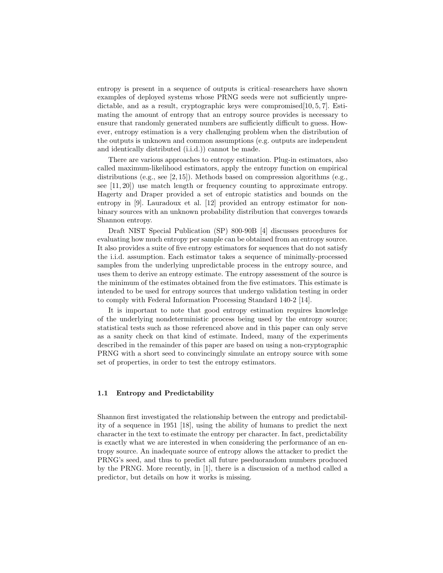entropy is present in a sequence of outputs is critical–researchers have shown examples of deployed systems whose PRNG seeds were not sufficiently unpredictable, and as a result, cryptographic keys were compromised  $[10, 5, 7]$ . Estimating the amount of entropy that an entropy source provides is necessary to ensure that randomly generated numbers are sufficiently difficult to guess. However, entropy estimation is a very challenging problem when the distribution of the outputs is unknown and common assumptions (e.g. outputs are independent and identically distributed (i.i.d.)) cannot be made.

There are various approaches to entropy estimation. Plug-in estimators, also called maximum-likelihood estimators, apply the entropy function on empirical distributions (e.g., see  $[2, 15]$ ). Methods based on compression algorithms (e.g., see [11, 20]) use match length or frequency counting to approximate entropy. Hagerty and Draper provided a set of entropic statistics and bounds on the entropy in [9]. Lauradoux et al. [12] provided an entropy estimator for nonbinary sources with an unknown probability distribution that converges towards Shannon entropy.

Draft NIST Special Publication (SP) 800-90B [4] discusses procedures for evaluating how much entropy per sample can be obtained from an entropy source. It also provides a suite of five entropy estimators for sequences that do not satisfy the i.i.d. assumption. Each estimator takes a sequence of minimally-processed samples from the underlying unpredictable process in the entropy source, and uses them to derive an entropy estimate. The entropy assessment of the source is the minimum of the estimates obtained from the five estimators. This estimate is intended to be used for entropy sources that undergo validation testing in order to comply with Federal Information Processing Standard 140-2 [14].

It is important to note that good entropy estimation requires knowledge of the underlying nondeterministic process being used by the entropy source; statistical tests such as those referenced above and in this paper can only serve as a sanity check on that kind of estimate. Indeed, many of the experiments described in the remainder of this paper are based on using a non-cryptographic PRNG with a short seed to convincingly simulate an entropy source with some set of properties, in order to test the entropy estimators.

#### 1.1 Entropy and Predictability

Shannon first investigated the relationship between the entropy and predictability of a sequence in 1951 [18], using the ability of humans to predict the next character in the text to estimate the entropy per character. In fact, predictability is exactly what we are interested in when considering the performance of an entropy source. An inadequate source of entropy allows the attacker to predict the PRNG's seed, and thus to predict all future pseduorandom numbers produced by the PRNG. More recently, in [1], there is a discussion of a method called a predictor, but details on how it works is missing.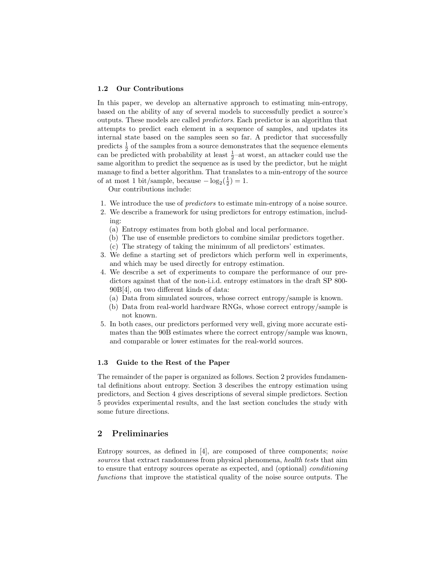#### 1.2 Our Contributions

In this paper, we develop an alternative approach to estimating min-entropy, based on the ability of any of several models to successfully predict a source's outputs. These models are called predictors. Each predictor is an algorithm that attempts to predict each element in a sequence of samples, and updates its internal state based on the samples seen so far. A predictor that successfully predicts  $\frac{1}{2}$  of the samples from a source demonstrates that the sequence elements can be predicted with probability at least  $\frac{1}{2}$ -at worst, an attacker could use the same algorithm to predict the sequence as is used by the predictor, but he might manage to find a better algorithm. That translates to a min-entropy of the source of at most 1 bit/sample, because  $-\log_2(\frac{1}{2}) = 1$ .

Our contributions include:

- 1. We introduce the use of predictors to estimate min-entropy of a noise source.
- 2. We describe a framework for using predictors for entropy estimation, including:
	- (a) Entropy estimates from both global and local performance.
	- (b) The use of ensemble predictors to combine similar predictors together.
	- (c) The strategy of taking the minimum of all predictors' estimates.
- 3. We define a starting set of predictors which perform well in experiments, and which may be used directly for entropy estimation.
- 4. We describe a set of experiments to compare the performance of our predictors against that of the non-i.i.d. entropy estimators in the draft SP 800- 90B[4], on two different kinds of data:
	- (a) Data from simulated sources, whose correct entropy/sample is known.
	- (b) Data from real-world hardware RNGs, whose correct entropy/sample is not known.
- 5. In both cases, our predictors performed very well, giving more accurate estimates than the 90B estimates where the correct entropy/sample was known, and comparable or lower estimates for the real-world sources.

### 1.3 Guide to the Rest of the Paper

The remainder of the paper is organized as follows. Section 2 provides fundamental definitions about entropy. Section 3 describes the entropy estimation using predictors, and Section 4 gives descriptions of several simple predictors. Section 5 provides experimental results, and the last section concludes the study with some future directions.

# 2 Preliminaries

Entropy sources, as defined in [4], are composed of three components; noise sources that extract randomness from physical phenomena, health tests that aim to ensure that entropy sources operate as expected, and (optional) conditioning functions that improve the statistical quality of the noise source outputs. The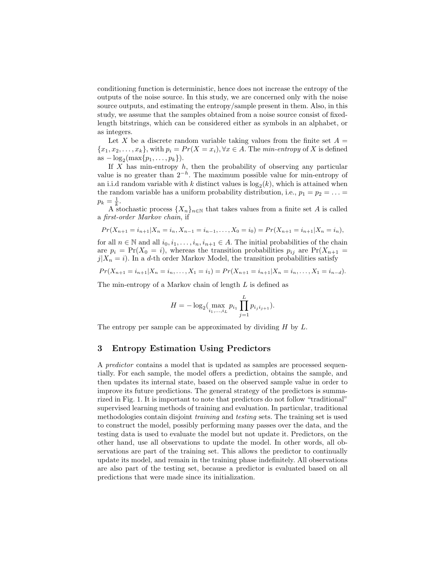conditioning function is deterministic, hence does not increase the entropy of the outputs of the noise source. In this study, we are concerned only with the noise source outputs, and estimating the entropy/sample present in them. Also, in this study, we assume that the samples obtained from a noise source consist of fixedlength bitstrings, which can be considered either as symbols in an alphabet, or as integers.

Let X be a discrete random variable taking values from the finite set  $A =$  ${x_1, x_2, \ldots, x_k}$ , with  $p_i = Pr(X = x_i)$ ,  $\forall x \in A$ . The min-entropy of X is defined as  $-\log_2(\max\{p_1,\ldots,p_k\}).$ 

If  $X$  has min-entropy  $h$ , then the probability of observing any particular value is no greater than  $2^{-h}$ . The maximum possible value for min-entropy of an i.i.d random variable with k distinct values is  $log_2(k)$ , which is attained when the random variable has a uniform probability distribution, i.e.,  $p_1 = p_2 = \ldots =$  $p_k = \frac{1}{k}.$ 

A stochastic process  $\{X_n\}_{n\in\mathbb{N}}$  that takes values from a finite set A is called a first-order Markov chain, if

$$
Pr(X_{n+1}=i_{n+1}|X_n=i_n,X_{n-1}=i_{n-1},\ldots,X_0=i_0)=Pr(X_{n+1}=i_{n+1}|X_n=i_n),
$$

for all  $n \in \mathbb{N}$  and all  $i_0, i_1, \ldots, i_n, i_{n+1} \in A$ . The initial probabilities of the chain are  $p_i = Pr(X_0 = i)$ , whereas the transition probabilities  $p_{ij}$  are  $Pr(X_{n+1} =$  $j|X_n = i$ . In a d-th order Markov Model, the transition probabilities satisfy

$$
Pr(X_{n+1} = i_{n+1} | X_n = i_n, ..., X_1 = i_1) = Pr(X_{n+1} = i_{n+1} | X_n = i_n, ..., X_1 = i_{n-d}).
$$

The min-entropy of a Markov chain of length L is defined as

$$
H = -\log_2(\max_{i_1,\ldots,i_L} p_{i_1} \prod_{j=1}^L p_{i_j i_{j+1}}).
$$

The entropy per sample can be approximated by dividing  $H$  by  $L$ .

# 3 Entropy Estimation Using Predictors

A predictor contains a model that is updated as samples are processed sequentially. For each sample, the model offers a prediction, obtains the sample, and then updates its internal state, based on the observed sample value in order to improve its future predictions. The general strategy of the predictors is summarized in Fig. 1. It is important to note that predictors do not follow "traditional" supervised learning methods of training and evaluation. In particular, traditional methodologies contain disjoint training and testing sets. The training set is used to construct the model, possibly performing many passes over the data, and the testing data is used to evaluate the model but not update it. Predictors, on the other hand, use all observations to update the model. In other words, all observations are part of the training set. This allows the predictor to continually update its model, and remain in the training phase indefinitely. All observations are also part of the testing set, because a predictor is evaluated based on all predictions that were made since its initialization.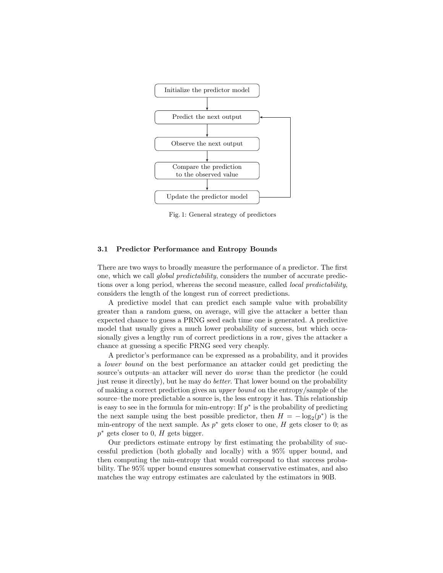

Fig. 1: General strategy of predictors

### 3.1 Predictor Performance and Entropy Bounds

There are two ways to broadly measure the performance of a predictor. The first one, which we call global predictability, considers the number of accurate predictions over a long period, whereas the second measure, called local predictability, considers the length of the longest run of correct predictions.

A predictive model that can predict each sample value with probability greater than a random guess, on average, will give the attacker a better than expected chance to guess a PRNG seed each time one is generated. A predictive model that usually gives a much lower probability of success, but which occasionally gives a lengthy run of correct predictions in a row, gives the attacker a chance at guessing a specific PRNG seed very cheaply.

A predictor's performance can be expressed as a probability, and it provides a lower bound on the best performance an attacker could get predicting the source's outputs–an attacker will never do worse than the predictor (he could just reuse it directly), but he may do better. That lower bound on the probability of making a correct prediction gives an upper bound on the entropy/sample of the source–the more predictable a source is, the less entropy it has. This relationship is easy to see in the formula for min-entropy: If  $p^*$  is the probability of predicting the next sample using the best possible predictor, then  $H = -\log_2(p^*)$  is the min-entropy of the next sample. As  $p^*$  gets closer to one, H gets closer to 0; as  $p^*$  gets closer to 0, H gets bigger.

Our predictors estimate entropy by first estimating the probability of successful prediction (both globally and locally) with a 95% upper bound, and then computing the min-entropy that would correspond to that success probability. The 95% upper bound ensures somewhat conservative estimates, and also matches the way entropy estimates are calculated by the estimators in 90B.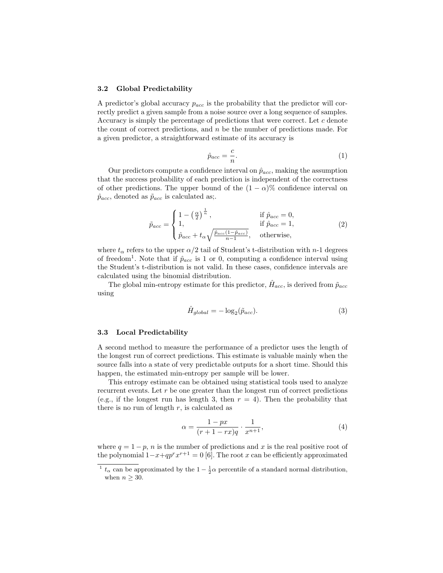#### 3.2 Global Predictability

A predictor's global accuracy  $p_{acc}$  is the probability that the predictor will correctly predict a given sample from a noise source over a long sequence of samples. Accuracy is simply the percentage of predictions that were correct. Let c denote the count of correct predictions, and  $n$  be the number of predictions made. For a given predictor, a straightforward estimate of its accuracy is

$$
\hat{p}_{acc} = \frac{c}{n}.\tag{1}
$$

Our predictors compute a confidence interval on  $\hat{p}_{acc}$ , making the assumption that the success probability of each prediction is independent of the correctness of other predictions. The upper bound of the  $(1 - \alpha)$ % confidence interval on  $\hat{p}_{acc}$ , denoted as  $\tilde{p}_{acc}$  is calculated as;.

$$
\tilde{p}_{acc} = \begin{cases}\n1 - \left(\frac{\alpha}{2}\right)^{\frac{1}{n}}, & \text{if } \hat{p}_{acc} = 0, \\
1, & \text{if } \hat{p}_{acc} = 1, \\
\hat{p}_{acc} + t_{\alpha} \sqrt{\frac{\hat{p}_{acc}(1 - \hat{p}_{acc})}{n - 1}}, & \text{otherwise,} \n\end{cases}
$$
\n(2)

where  $t_{\alpha}$  refers to the upper  $\alpha/2$  tail of Student's t-distribution with n-1 degrees of freedom<sup>1</sup>. Note that if  $\hat{p}_{acc}$  is 1 or 0, computing a confidence interval using the Student's t-distribution is not valid. In these cases, confidence intervals are calculated using the binomial distribution.

The global min-entropy estimate for this predictor,  $\hat{H}_{acc}$ , is derived from  $\tilde{p}_{acc}$ using

$$
\hat{H}_{global} = -\log_2(\tilde{p}_{acc}).\tag{3}
$$

#### 3.3 Local Predictability

A second method to measure the performance of a predictor uses the length of the longest run of correct predictions. This estimate is valuable mainly when the source falls into a state of very predictable outputs for a short time. Should this happen, the estimated min-entropy per sample will be lower.

This entropy estimate can be obtained using statistical tools used to analyze recurrent events. Let  $r$  be one greater than the longest run of correct predictions (e.g., if the longest run has length 3, then  $r = 4$ ). Then the probability that there is no run of length  $r$ , is calculated as

$$
\alpha = \frac{1 - px}{(r + 1 - rx)q} \cdot \frac{1}{x^{n+1}},\tag{4}
$$

where  $q = 1 - p$ , n is the number of predictions and x is the real positive root of the polynomial  $1-x+qp^rx^{r+1}=0$  [6]. The root x can be efficiently approximated

<sup>&</sup>lt;sup>1</sup>  $t_{\alpha}$  can be approximated by the  $1 - \frac{1}{2}\alpha$  percentile of a standard normal distribution, when  $n > 30$ .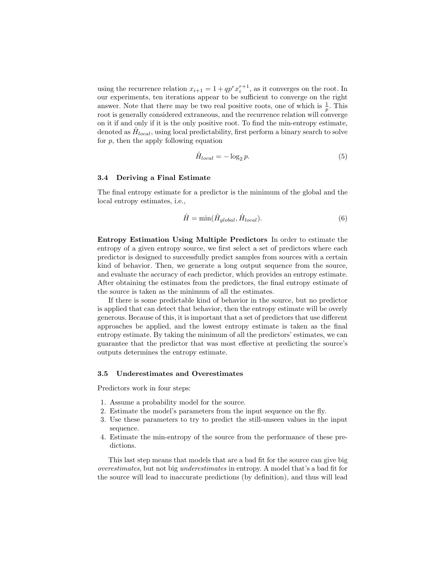using the recurrence relation  $x_{i+1} = 1 + qp^r x_i^{r+1}$ , as it converges on the root. In our experiments, ten iterations appear to be sufficient to converge on the right answer. Note that there may be two real positive roots, one of which is  $\frac{1}{p}$ . This root is generally considered extraneous, and the recurrence relation will converge on it if and only if it is the only positive root. To find the min-entropy estimate, denoted as  $\hat{H}_{local}$ , using local predictability, first perform a binary search to solve for  $p$ , then the apply following equation

$$
\hat{H}_{local} = -\log_2 p. \tag{5}
$$

#### 3.4 Deriving a Final Estimate

The final entropy estimate for a predictor is the minimum of the global and the local entropy estimates, i.e.,

$$
\hat{H} = \min(\hat{H}_{global}, \hat{H}_{local}).
$$
\n(6)

Entropy Estimation Using Multiple Predictors In order to estimate the entropy of a given entropy source, we first select a set of predictors where each predictor is designed to successfully predict samples from sources with a certain kind of behavior. Then, we generate a long output sequence from the source, and evaluate the accuracy of each predictor, which provides an entropy estimate. After obtaining the estimates from the predictors, the final entropy estimate of the source is taken as the minimum of all the estimates.

If there is some predictable kind of behavior in the source, but no predictor is applied that can detect that behavior, then the entropy estimate will be overly generous. Because of this, it is important that a set of predictors that use different approaches be applied, and the lowest entropy estimate is taken as the final entropy estimate. By taking the minimum of all the predictors' estimates, we can guarantee that the predictor that was most effective at predicting the source's outputs determines the entropy estimate.

#### 3.5 Underestimates and Overestimates

Predictors work in four steps:

- 1. Assume a probability model for the source.
- 2. Estimate the model's parameters from the input sequence on the fly.
- 3. Use these parameters to try to predict the still-unseen values in the input sequence.
- 4. Estimate the min-entropy of the source from the performance of these predictions.

This last step means that models that are a bad fit for the source can give big overestimates, but not big underestimates in entropy. A model that's a bad fit for the source will lead to inaccurate predictions (by definition), and thus will lead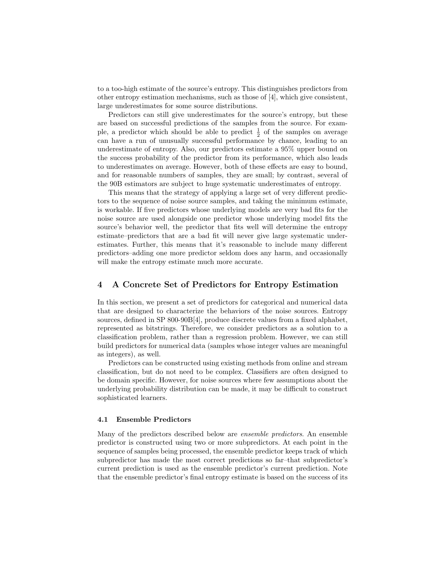to a too-high estimate of the source's entropy. This distinguishes predictors from other entropy estimation mechanisms, such as those of [4], which give consistent, large underestimates for some source distributions.

Predictors can still give underestimates for the source's entropy, but these are based on successful predictions of the samples from the source. For example, a predictor which should be able to predict  $\frac{1}{2}$  of the samples on average can have a run of unusually successful performance by chance, leading to an underestimate of entropy. Also, our predictors estimate a 95% upper bound on the success probability of the predictor from its performance, which also leads to underestimates on average. However, both of these effects are easy to bound, and for reasonable numbers of samples, they are small; by contrast, several of the 90B estimators are subject to huge systematic underestimates of entropy.

This means that the strategy of applying a large set of very different predictors to the sequence of noise source samples, and taking the minimum estimate, is workable. If five predictors whose underlying models are very bad fits for the noise source are used alongside one predictor whose underlying model fits the source's behavior well, the predictor that fits well will determine the entropy estimate–predictors that are a bad fit will never give large systematic underestimates. Further, this means that it's reasonable to include many different predictors–adding one more predictor seldom does any harm, and occasionally will make the entropy estimate much more accurate.

# 4 A Concrete Set of Predictors for Entropy Estimation

In this section, we present a set of predictors for categorical and numerical data that are designed to characterize the behaviors of the noise sources. Entropy sources, defined in SP 800-90B[4], produce discrete values from a fixed alphabet, represented as bitstrings. Therefore, we consider predictors as a solution to a classification problem, rather than a regression problem. However, we can still build predictors for numerical data (samples whose integer values are meaningful as integers), as well.

Predictors can be constructed using existing methods from online and stream classification, but do not need to be complex. Classifiers are often designed to be domain specific. However, for noise sources where few assumptions about the underlying probability distribution can be made, it may be difficult to construct sophisticated learners.

#### 4.1 Ensemble Predictors

Many of the predictors described below are ensemble predictors. An ensemble predictor is constructed using two or more subpredictors. At each point in the sequence of samples being processed, the ensemble predictor keeps track of which subpredictor has made the most correct predictions so far–that subpredictor's current prediction is used as the ensemble predictor's current prediction. Note that the ensemble predictor's final entropy estimate is based on the success of its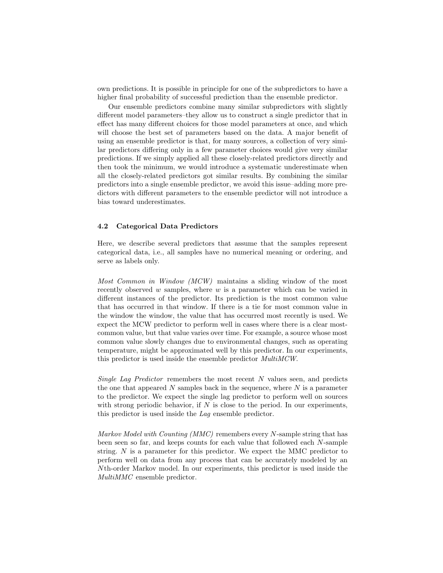own predictions. It is possible in principle for one of the subpredictors to have a higher final probability of successful prediction than the ensemble predictor.

Our ensemble predictors combine many similar subpredictors with slightly different model parameters–they allow us to construct a single predictor that in effect has many different choices for those model parameters at once, and which will choose the best set of parameters based on the data. A major benefit of using an ensemble predictor is that, for many sources, a collection of very similar predictors differing only in a few parameter choices would give very similar predictions. If we simply applied all these closely-related predictors directly and then took the minimum, we would introduce a systematic underestimate when all the closely-related predictors got similar results. By combining the similar predictors into a single ensemble predictor, we avoid this issue–adding more predictors with different parameters to the ensemble predictor will not introduce a bias toward underestimates.

### 4.2 Categorical Data Predictors

Here, we describe several predictors that assume that the samples represent categorical data, i.e., all samples have no numerical meaning or ordering, and serve as labels only.

Most Common in Window (MCW) maintains a sliding window of the most recently observed w samples, where w is a parameter which can be varied in different instances of the predictor. Its prediction is the most common value that has occurred in that window. If there is a tie for most common value in the window the window, the value that has occurred most recently is used. We expect the MCW predictor to perform well in cases where there is a clear mostcommon value, but that value varies over time. For example, a source whose most common value slowly changes due to environmental changes, such as operating temperature, might be approximated well by this predictor. In our experiments, this predictor is used inside the ensemble predictor MultiMCW.

Single Lag Predictor remembers the most recent  $N$  values seen, and predicts the one that appeared  $N$  samples back in the sequence, where  $N$  is a parameter to the predictor. We expect the single lag predictor to perform well on sources with strong periodic behavior, if  $N$  is close to the period. In our experiments, this predictor is used inside the Lag ensemble predictor.

Markov Model with Counting (MMC) remembers every N-sample string that has been seen so far, and keeps counts for each value that followed each N-sample string. N is a parameter for this predictor. We expect the MMC predictor to perform well on data from any process that can be accurately modeled by an Nth-order Markov model. In our experiments, this predictor is used inside the MultiMMC ensemble predictor.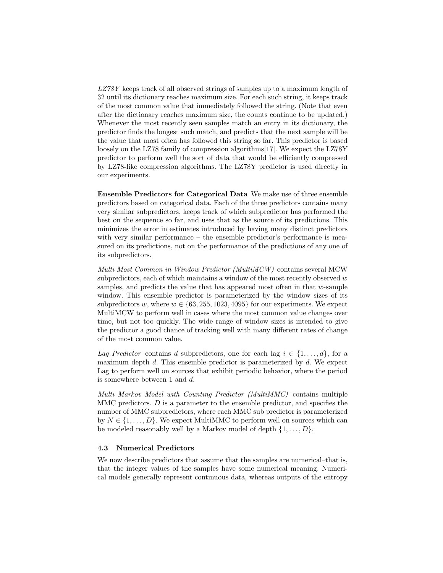LZ78Y keeps track of all observed strings of samples up to a maximum length of 32 until its dictionary reaches maximum size. For each such string, it keeps track of the most common value that immediately followed the string. (Note that even after the dictionary reaches maximum size, the counts continue to be updated.) Whenever the most recently seen samples match an entry in its dictionary, the predictor finds the longest such match, and predicts that the next sample will be the value that most often has followed this string so far. This predictor is based loosely on the LZ78 family of compression algorithms[17]. We expect the LZ78Y predictor to perform well the sort of data that would be efficiently compressed by LZ78-like compression algorithms. The LZ78Y predictor is used directly in our experiments.

Ensemble Predictors for Categorical Data We make use of three ensemble predictors based on categorical data. Each of the three predictors contains many very similar subpredictors, keeps track of which subpredictor has performed the best on the sequence so far, and uses that as the source of its predictions. This minimizes the error in estimates introduced by having many distinct predictors with very similar performance – the ensemble predictor's performance is measured on its predictions, not on the performance of the predictions of any one of its subpredictors.

Multi Most Common in Window Predictor (MultiMCW) contains several MCW subpredictors, each of which maintains a window of the most recently observed  $w$ samples, and predicts the value that has appeared most often in that  $w$ -sample window. This ensemble predictor is parameterized by the window sizes of its subpredictors w, where  $w \in \{63, 255, 1023, 4095\}$  for our experiments. We expect MultiMCW to perform well in cases where the most common value changes over time, but not too quickly. The wide range of window sizes is intended to give the predictor a good chance of tracking well with many different rates of change of the most common value.

Lag Predictor contains d subpredictors, one for each lag  $i \in \{1, \ldots, d\}$ , for a maximum depth  $d$ . This ensemble predictor is parameterized by  $d$ . We expect Lag to perform well on sources that exhibit periodic behavior, where the period is somewhere between 1 and d.

Multi Markov Model with Counting Predictor (MultiMMC) contains multiple MMC predictors.  $D$  is a parameter to the ensemble predictor, and specifies the number of MMC subpredictors, where each MMC sub predictor is parameterized by  $N \in \{1, \ldots, D\}$ . We expect MultiMMC to perform well on sources which can be modeled reasonably well by a Markov model of depth  $\{1, \ldots, D\}$ .

### 4.3 Numerical Predictors

We now describe predictors that assume that the samples are numerical–that is, that the integer values of the samples have some numerical meaning. Numerical models generally represent continuous data, whereas outputs of the entropy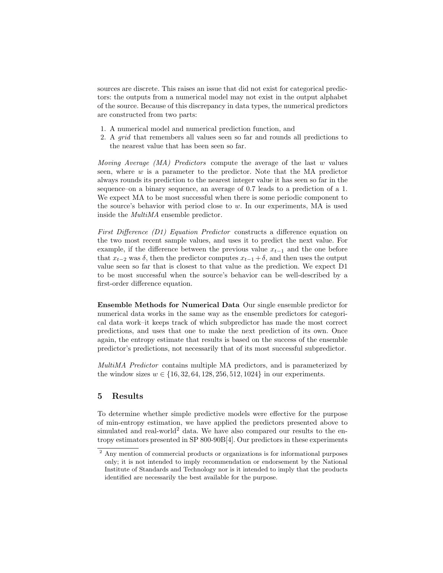sources are discrete. This raises an issue that did not exist for categorical predictors: the outputs from a numerical model may not exist in the output alphabet of the source. Because of this discrepancy in data types, the numerical predictors are constructed from two parts:

- 1. A numerical model and numerical prediction function, and
- 2. A grid that remembers all values seen so far and rounds all predictions to the nearest value that has been seen so far.

Moving Average  $(MA)$  Predictors compute the average of the last w values seen, where  $w$  is a parameter to the predictor. Note that the MA predictor always rounds its prediction to the nearest integer value it has seen so far in the sequence–on a binary sequence, an average of 0.7 leads to a prediction of a 1. We expect MA to be most successful when there is some periodic component to the source's behavior with period close to w. In our experiments, MA is used inside the MultiMA ensemble predictor.

First Difference (D1) Equation Predictor constructs a difference equation on the two most recent sample values, and uses it to predict the next value. For example, if the difference between the previous value  $x_{t-1}$  and the one before that  $x_{t-2}$  was  $\delta$ , then the predictor computes  $x_{t-1} + \delta$ , and then uses the output value seen so far that is closest to that value as the prediction. We expect D1 to be most successful when the source's behavior can be well-described by a first-order difference equation.

Ensemble Methods for Numerical Data Our single ensemble predictor for numerical data works in the same way as the ensemble predictors for categorical data work–it keeps track of which subpredictor has made the most correct predictions, and uses that one to make the next prediction of its own. Once again, the entropy estimate that results is based on the success of the ensemble predictor's predictions, not necessarily that of its most successful subpredictor.

MultiMA Predictor contains multiple MA predictors, and is parameterized by the window sizes  $w \in \{16, 32, 64, 128, 256, 512, 1024\}$  in our experiments.

# 5 Results

To determine whether simple predictive models were effective for the purpose of min-entropy estimation, we have applied the predictors presented above to simulated and real-world<sup>2</sup> data. We have also compared our results to the entropy estimators presented in SP 800-90B[4]. Our predictors in these experiments

<sup>2</sup> Any mention of commercial products or organizations is for informational purposes only; it is not intended to imply recommendation or endorsement by the National Institute of Standards and Technology nor is it intended to imply that the products identified are necessarily the best available for the purpose.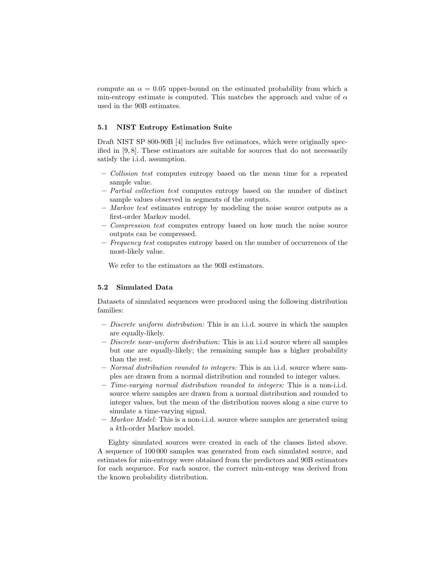compute an  $\alpha = 0.05$  upper-bound on the estimated probability from which a min-entropy estimate is computed. This matches the approach and value of  $\alpha$ used in the 90B estimates.

#### 5.1 NIST Entropy Estimation Suite

Draft NIST SP 800-90B [4] includes five estimators, which were originally specified in [9, 8]. These estimators are suitable for sources that do not necessarily satisfy the i.i.d. assumption.

- Collision test computes entropy based on the mean time for a repeated sample value.
- Partial collection test computes entropy based on the number of distinct sample values observed in segments of the outputs.
- $-$  *Markov test* estimates entropy by modeling the noise source outputs as a first-order Markov model.
- Compression test computes entropy based on how much the noise source outputs can be compressed.
- Frequency test computes entropy based on the number of occurrences of the most-likely value.

We refer to the estimators as the 90B estimators.

### 5.2 Simulated Data

Datasets of simulated sequences were produced using the following distribution families:

- $-$  Discrete uniform distribution: This is an i.i.d. source in which the samples are equally-likely.
- $-$  Discrete near-uniform distribution: This is an i.i.d source where all samples but one are equally-likely; the remaining sample has a higher probability than the rest.
- Normal distribution rounded to integers: This is an i.i.d. source where samples are drawn from a normal distribution and rounded to integer values.
- Time-varying normal distribution rounded to integers: This is a non-i.i.d. source where samples are drawn from a normal distribution and rounded to integer values, but the mean of the distribution moves along a sine curve to simulate a time-varying signal.
- $-$  *Markov Model:* This is a non-i.i.d. source where samples are generated using a kth-order Markov model.

Eighty simulated sources were created in each of the classes listed above. A sequence of 100 000 samples was generated from each simulated source, and estimates for min-entropy were obtained from the predictors and 90B estimators for each sequence. For each source, the correct min-entropy was derived from the known probability distribution.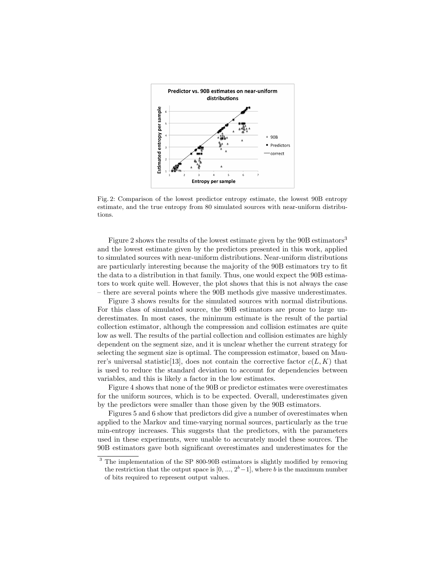

Fig. 2: Comparison of the lowest predictor entropy estimate, the lowest 90B entropy estimate, and the true entropy from 80 simulated sources with near-uniform distributions.

Figure 2 shows the results of the lowest estimate given by the 90B estimators<sup>3</sup> and the lowest estimate given by the predictors presented in this work, applied to simulated sources with near-uniform distributions. Near-uniform distributions are particularly interesting because the majority of the 90B estimators try to fit the data to a distribution in that family. Thus, one would expect the 90B estimators to work quite well. However, the plot shows that this is not always the case – there are several points where the 90B methods give massive underestimates.

Figure 3 shows results for the simulated sources with normal distributions. For this class of simulated source, the 90B estimators are prone to large underestimates. In most cases, the minimum estimate is the result of the partial collection estimator, although the compression and collision estimates are quite low as well. The results of the partial collection and collision estimates are highly dependent on the segment size, and it is unclear whether the current strategy for selecting the segment size is optimal. The compression estimator, based on Maurer's universal statistic<sup>[13]</sup>, does not contain the corrective factor  $c(L, K)$  that is used to reduce the standard deviation to account for dependencies between variables, and this is likely a factor in the low estimates.

Figure 4 shows that none of the 90B or predictor estimates were overestimates for the uniform sources, which is to be expected. Overall, underestimates given by the predictors were smaller than those given by the 90B estimators.

Figures 5 and 6 show that predictors did give a number of overestimates when applied to the Markov and time-varying normal sources, particularly as the true min-entropy increases. This suggests that the predictors, with the parameters used in these experiments, were unable to accurately model these sources. The 90B estimators gave both significant overestimates and underestimates for the

<sup>&</sup>lt;sup>3</sup> The implementation of the SP 800-90B estimators is slightly modified by removing the restriction that the output space is [0, ...,  $2<sup>b</sup> - 1$ ], where b is the maximum number of bits required to represent output values.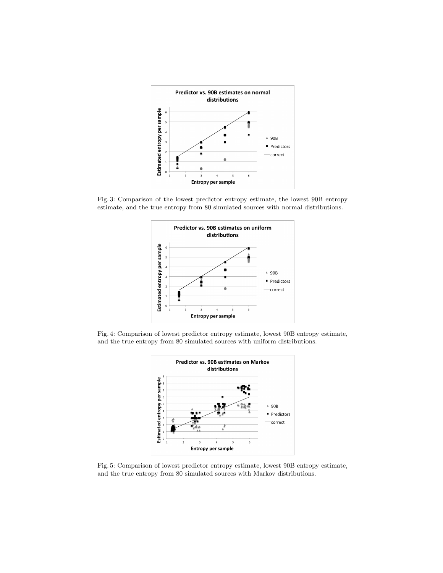

Fig. 3: Comparison of the lowest predictor entropy estimate, the lowest 90B entropy estimate, and the true entropy from 80 simulated sources with normal distributions.



Fig. 4: Comparison of lowest predictor entropy estimate, lowest 90B entropy estimate, and the true entropy from 80 simulated sources with uniform distributions.



Fig. 5: Comparison of lowest predictor entropy estimate, lowest 90B entropy estimate, and the true entropy from 80 simulated sources with Markov distributions.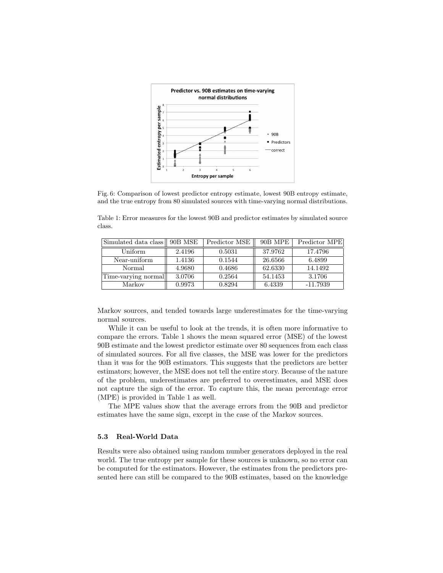

Fig. 6: Comparison of lowest predictor entropy estimate, lowest 90B entropy estimate, and the true entropy from 80 simulated sources with time-varying normal distributions.

Table 1: Error measures for the lowest 90B and predictor estimates by simulated source class.

| Simulated data class | 90B MSE | Predictor MSE | 90B MPE | Predictor MPE |
|----------------------|---------|---------------|---------|---------------|
| Uniform              | 2.4196  | 0.5031        | 37.9762 | 17.4796       |
| Near-uniform         | 1.4136  | 0.1544        | 26.6566 | 6.4899        |
| Normal               | 4.9680  | 0.4686        | 62.6330 | 14.1492       |
| Time-varying normal  | 3.0706  | 0.2564        | 54.1453 | 3.1706        |
| Markov               | 0.9973  | 0.8294        | 6.4339  | $-11.7939$    |

Markov sources, and tended towards large underestimates for the time-varying normal sources.

While it can be useful to look at the trends, it is often more informative to compare the errors. Table 1 shows the mean squared error (MSE) of the lowest 90B estimate and the lowest predictor estimate over 80 sequences from each class of simulated sources. For all five classes, the MSE was lower for the predictors than it was for the 90B estimators. This suggests that the predictors are better estimators; however, the MSE does not tell the entire story. Because of the nature of the problem, underestimates are preferred to overestimates, and MSE does not capture the sign of the error. To capture this, the mean percentage error (MPE) is provided in Table 1 as well.

The MPE values show that the average errors from the 90B and predictor estimates have the same sign, except in the case of the Markov sources.

#### 5.3 Real-World Data

Results were also obtained using random number generators deployed in the real world. The true entropy per sample for these sources is unknown, so no error can be computed for the estimators. However, the estimates from the predictors presented here can still be compared to the 90B estimates, based on the knowledge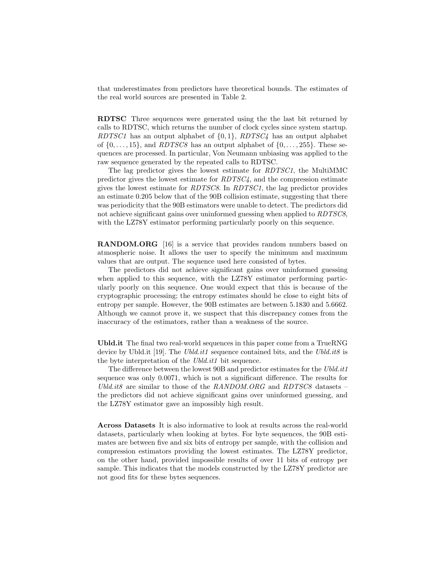that underestimates from predictors have theoretical bounds. The estimates of the real world sources are presented in Table 2.

RDTSC Three sequences were generated using the the last bit returned by calls to RDTSC, which returns the number of clock cycles since system startup. RDTSC1 has an output alphabet of  $\{0, 1\}$ , RDTSC4 has an output alphabet of  $\{0, \ldots, 15\}$ , and  $RDTSC8$  has an output alphabet of  $\{0, \ldots, 255\}$ . These sequences are processed. In particular, Von Neumann unbiasing was applied to the raw sequence generated by the repeated calls to RDTSC.

The lag predictor gives the lowest estimate for RDTSC1, the MultiMMC predictor gives the lowest estimate for RDTSC4, and the compression estimate gives the lowest estimate for RDTSC8. In RDTSC1, the lag predictor provides an estimate 0.205 below that of the 90B collision estimate, suggesting that there was periodicity that the 90B estimators were unable to detect. The predictors did not achieve significant gains over uninformed guessing when applied to RDTSC8, with the LZ78Y estimator performing particularly poorly on this sequence.

RANDOM.ORG [16] is a service that provides random numbers based on atmospheric noise. It allows the user to specify the minimum and maximum values that are output. The sequence used here consisted of bytes.

The predictors did not achieve significant gains over uninformed guessing when applied to this sequence, with the LZ78Y estimator performing particularly poorly on this sequence. One would expect that this is because of the cryptographic processing; the entropy estimates should be close to eight bits of entropy per sample. However, the 90B estimates are between 5.1830 and 5.6662. Although we cannot prove it, we suspect that this discrepancy comes from the inaccuracy of the estimators, rather than a weakness of the source.

Ubld.it The final two real-world sequences in this paper come from a TrueRNG device by Ubld.it [19]. The *Ubld.it1* sequence contained bits, and the *Ubld.it8* is the byte interpretation of the *Ubld.it1* bit sequence.

The difference between the lowest 90B and predictor estimates for the Ubld.it1 sequence was only 0.0071, which is not a significant difference. The results for Ubld.it8 are similar to those of the  $\mathbb{R}ANDOM \mathbb{O}M$  and  $\mathbb{R}DTSCS$  datasets – the predictors did not achieve significant gains over uninformed guessing, and the LZ78Y estimator gave an impossibly high result.

Across Datasets It is also informative to look at results across the real-world datasets, particularly when looking at bytes. For byte sequences, the 90B estimates are between five and six bits of entropy per sample, with the collision and compression estimators providing the lowest estimates. The LZ78Y predictor, on the other hand, provided impossible results of over 11 bits of entropy per sample. This indicates that the models constructed by the LZ78Y predictor are not good fits for these bytes sequences.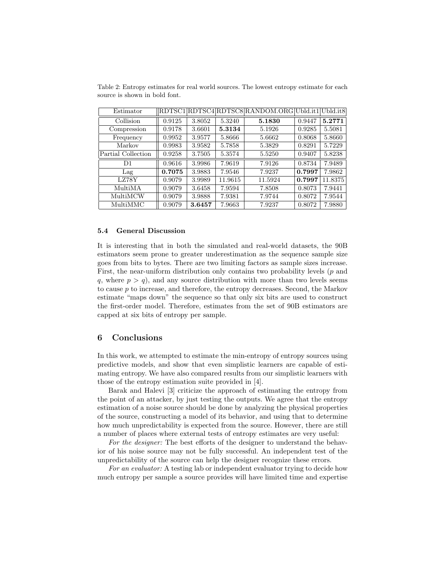Table 2: Entropy estimates for real world sources. The lowest entropy estimate for each source is shown in bold font.

| Estimator          |        |        |         | RDTSC1 RDTSC4 RDTSC8 RANDOM.ORG Ubld.it1 Ubld.it8 |        |         |
|--------------------|--------|--------|---------|---------------------------------------------------|--------|---------|
| Collision          | 0.9125 | 3.8052 | 5.3240  | 5.1830                                            | 0.9447 | 5.2771  |
| Compression        | 0.9178 | 3.6601 | 5.3134  | 5.1926                                            | 0.9285 | 5.5081  |
| Frequency          | 0.9952 | 3.9577 | 5.8666  | 5.6662                                            | 0.8068 | 5.8660  |
| Markov             | 0.9983 | 3.9582 | 5.7858  | 5.3829                                            | 0.8291 | 5.7229  |
| Partial Collection | 0.9258 | 3.7505 | 5.3574  | 5.5250                                            | 0.9407 | 5.8238  |
| D1                 | 0.9616 | 3.9986 | 7.9619  | 7.9126                                            | 0.8734 | 7.9489  |
| Lag                | 0.7075 | 3.9883 | 7.9546  | 7.9237                                            | 0.7997 | 7.9862  |
| LZ78Y              | 0.9079 | 3.9989 | 11.9615 | 11.5924                                           | 0.7997 | 11.8375 |
| MultiMA            | 0.9079 | 3.6458 | 7.9594  | 7.8508                                            | 0.8073 | 7.9441  |
| MultiMCW           | 0.9079 | 3.9888 | 7.9381  | 7.9744                                            | 0.8072 | 7.9544  |
| MultiMMC           | 0.9079 | 3.6457 | 7.9663  | 7.9237                                            | 0.8072 | 7.9880  |

#### 5.4 General Discussion

It is interesting that in both the simulated and real-world datasets, the 90B estimators seem prone to greater underestimation as the sequence sample size goes from bits to bytes. There are two limiting factors as sample sizes increase. First, the near-uniform distribution only contains two probability levels (p and q, where  $p > q$ , and any source distribution with more than two levels seems to cause p to increase, and therefore, the entropy decreases. Second, the Markov estimate "maps down" the sequence so that only six bits are used to construct the first-order model. Therefore, estimates from the set of 90B estimators are capped at six bits of entropy per sample.

# 6 Conclusions

In this work, we attempted to estimate the min-entropy of entropy sources using predictive models, and show that even simplistic learners are capable of estimating entropy. We have also compared results from our simplistic learners with those of the entropy estimation suite provided in [4].

Barak and Halevi [3] criticize the approach of estimating the entropy from the point of an attacker, by just testing the outputs. We agree that the entropy estimation of a noise source should be done by analyzing the physical properties of the source, constructing a model of its behavior, and using that to determine how much unpredictability is expected from the source. However, there are still a number of places where external tests of entropy estimates are very useful:

For the designer: The best efforts of the designer to understand the behavior of his noise source may not be fully successful. An independent test of the unpredictability of the source can help the designer recognize these errors.

For an evaluator: A testing lab or independent evaluator trying to decide how much entropy per sample a source provides will have limited time and expertise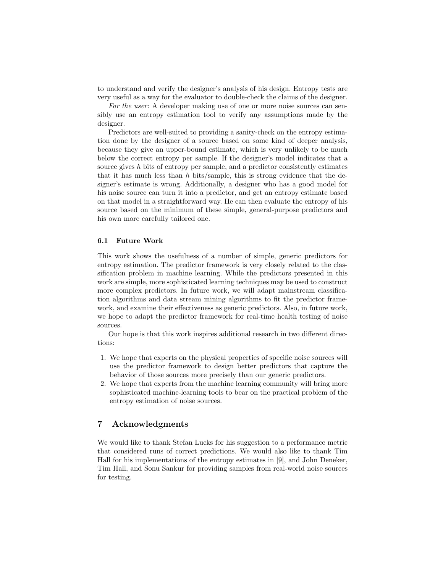to understand and verify the designer's analysis of his design. Entropy tests are very useful as a way for the evaluator to double-check the claims of the designer.

For the user: A developer making use of one or more noise sources can sensibly use an entropy estimation tool to verify any assumptions made by the designer.

Predictors are well-suited to providing a sanity-check on the entropy estimation done by the designer of a source based on some kind of deeper analysis, because they give an upper-bound estimate, which is very unlikely to be much below the correct entropy per sample. If the designer's model indicates that a source gives  $h$  bits of entropy per sample, and a predictor consistently estimates that it has much less than h bits/sample, this is strong evidence that the designer's estimate is wrong. Additionally, a designer who has a good model for his noise source can turn it into a predictor, and get an entropy estimate based on that model in a straightforward way. He can then evaluate the entropy of his source based on the minimum of these simple, general-purpose predictors and his own more carefully tailored one.

#### 6.1 Future Work

This work shows the usefulness of a number of simple, generic predictors for entropy estimation. The predictor framework is very closely related to the classification problem in machine learning. While the predictors presented in this work are simple, more sophisticated learning techniques may be used to construct more complex predictors. In future work, we will adapt mainstream classification algorithms and data stream mining algorithms to fit the predictor framework, and examine their effectiveness as generic predictors. Also, in future work, we hope to adapt the predictor framework for real-time health testing of noise sources.

Our hope is that this work inspires additional research in two different directions:

- 1. We hope that experts on the physical properties of specific noise sources will use the predictor framework to design better predictors that capture the behavior of those sources more precisely than our generic predictors.
- 2. We hope that experts from the machine learning community will bring more sophisticated machine-learning tools to bear on the practical problem of the entropy estimation of noise sources.

## 7 Acknowledgments

We would like to thank Stefan Lucks for his suggestion to a performance metric that considered runs of correct predictions. We would also like to thank Tim Hall for his implementations of the entropy estimates in [9], and John Deneker, Tim Hall, and Sonu Sankur for providing samples from real-world noise sources for testing.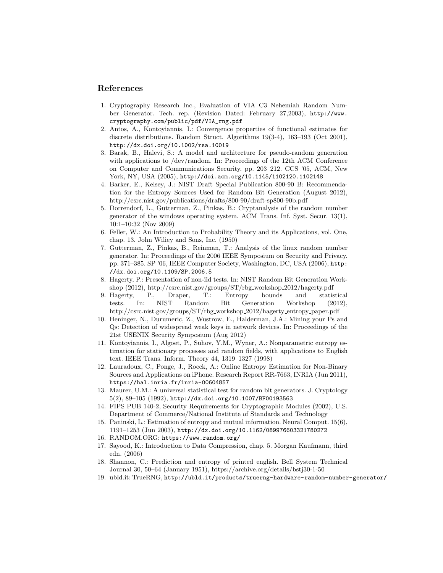## References

- 1. Cryptography Research Inc., Evaluation of VIA C3 Nehemiah Random Number Generator. Tech. rep. (Revision Dated: February 27,2003), http://www. cryptography.com/public/pdf/VIA\_rng.pdf
- 2. Antos, A., Kontoyiannis, I.: Convergence properties of functional estimates for discrete distributions. Random Struct. Algorithms 19(3-4), 163–193 (Oct 2001), http://dx.doi.org/10.1002/rsa.10019
- 3. Barak, B., Halevi, S.: A model and architecture for pseudo-random generation with applications to /dev/random. In: Proceedings of the 12th ACM Conference on Computer and Communications Security. pp. 203–212. CCS '05, ACM, New York, NY, USA (2005), http://doi.acm.org/10.1145/1102120.1102148
- 4. Barker, E., Kelsey, J.: NIST Draft Special Publication 800-90 B: Recommendation for the Entropy Sources Used for Random Bit Generation (August 2012), http://csrc.nist.gov/publications/drafts/800-90/draft-sp800-90b.pdf
- 5. Dorrendorf, L., Gutterman, Z., Pinkas, B.: Cryptanalysis of the random number generator of the windows operating system. ACM Trans. Inf. Syst. Secur. 13(1), 10:1–10:32 (Nov 2009)
- 6. Feller, W.: An Introduction to Probability Theory and its Applications, vol. One, chap. 13. John Wiliey and Sons, Inc. (1950)
- 7. Gutterman, Z., Pinkas, B., Reinman, T.: Analysis of the linux random number generator. In: Proceedings of the 2006 IEEE Symposium on Security and Privacy. pp. 371–385. SP '06, IEEE Computer Society, Washington, DC, USA (2006), http: //dx.doi.org/10.1109/SP.2006.5
- 8. Hagerty, P.: Presentation of non-iid tests. In: NIST Random Bit Generation Workshop (2012), http://csrc.nist.gov/groups/ST/rbg workshop 2012/hagerty.pdf
- 9. Hagerty, P., Draper, T.: Entropy bounds and statistical tests. In: NIST Random Bit Generation Workshop (2012), http://csrc.nist.gov/groups/ST/rbg workshop 2012/hagerty entropy paper.pdf
- 10. Heninger, N., Durumeric, Z., Wustrow, E., Halderman, J.A.: Mining your Ps and Qs: Detection of widespread weak keys in network devices. In: Proceedings of the 21st USENIX Security Symposium (Aug 2012)
- 11. Kontoyiannis, I., Algoet, P., Suhov, Y.M., Wyner, A.: Nonparametric entropy estimation for stationary processes and random fields, with applications to English text. IEEE Trans. Inform. Theory 44, 1319–1327 (1998)
- 12. Lauradoux, C., Ponge, J., Roeck, A.: Online Entropy Estimation for Non-Binary Sources and Applications on iPhone. Research Report RR-7663, INRIA (Jun 2011), https://hal.inria.fr/inria-00604857
- 13. Maurer, U.M.: A universal statistical test for random bit generators. J. Cryptology 5(2), 89–105 (1992), http://dx.doi.org/10.1007/BF00193563
- 14. FIPS PUB 140-2, Security Requirements for Cryptographic Modules (2002), U.S. Department of Commerce/National Institute of Standards and Technology
- 15. Paninski, L.: Estimation of entropy and mutual information. Neural Comput. 15(6), 1191–1253 (Jun 2003), http://dx.doi.org/10.1162/089976603321780272
- 16. RANDOM.ORG: https://www.random.org/
- 17. Sayood, K.: Introduction to Data Compression, chap. 5. Morgan Kaufmann, third edn. (2006)
- 18. Shannon, C.: Prediction and entropy of printed english. Bell System Technical Journal 30, 50–64 (January 1951), https://archive.org/details/bstj30-1-50
- 19. ubld.it: TrueRNG, http://ubld.it/products/truerng-hardware-random-number-generator/